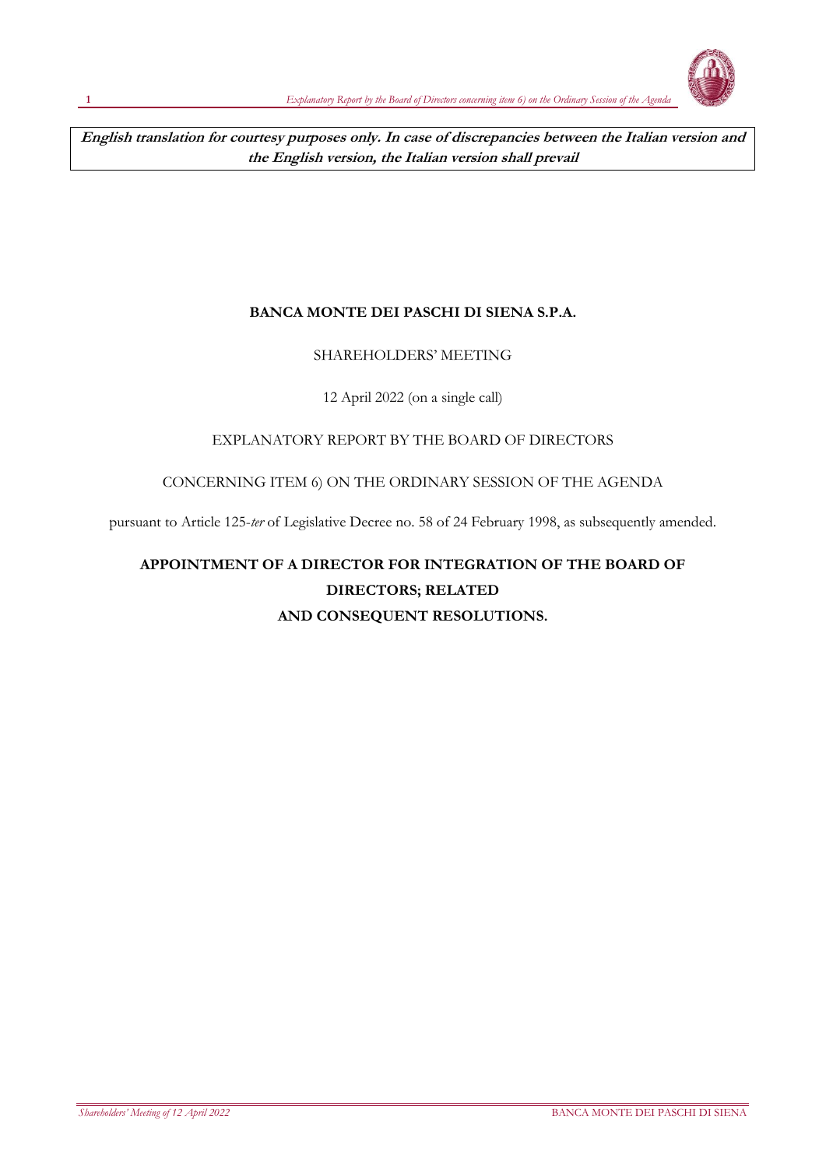

**English translation for courtesy purposes only. In case of discrepancies between the Italian version and the English version, the Italian version shall prevail**

## **BANCA MONTE DEI PASCHI DI SIENA S.P.A.**

## SHAREHOLDERS' MEETING

## 12 April 2022 (on a single call)

## EXPLANATORY REPORT BY THE BOARD OF DIRECTORS

## CONCERNING ITEM 6) ON THE ORDINARY SESSION OF THE AGENDA

pursuant to Article 125-*ter* of Legislative Decree no. 58 of 24 February 1998, as subsequently amended.

# **APPOINTMENT OF A DIRECTOR FOR INTEGRATION OF THE BOARD OF DIRECTORS; RELATED AND CONSEQUENT RESOLUTIONS.**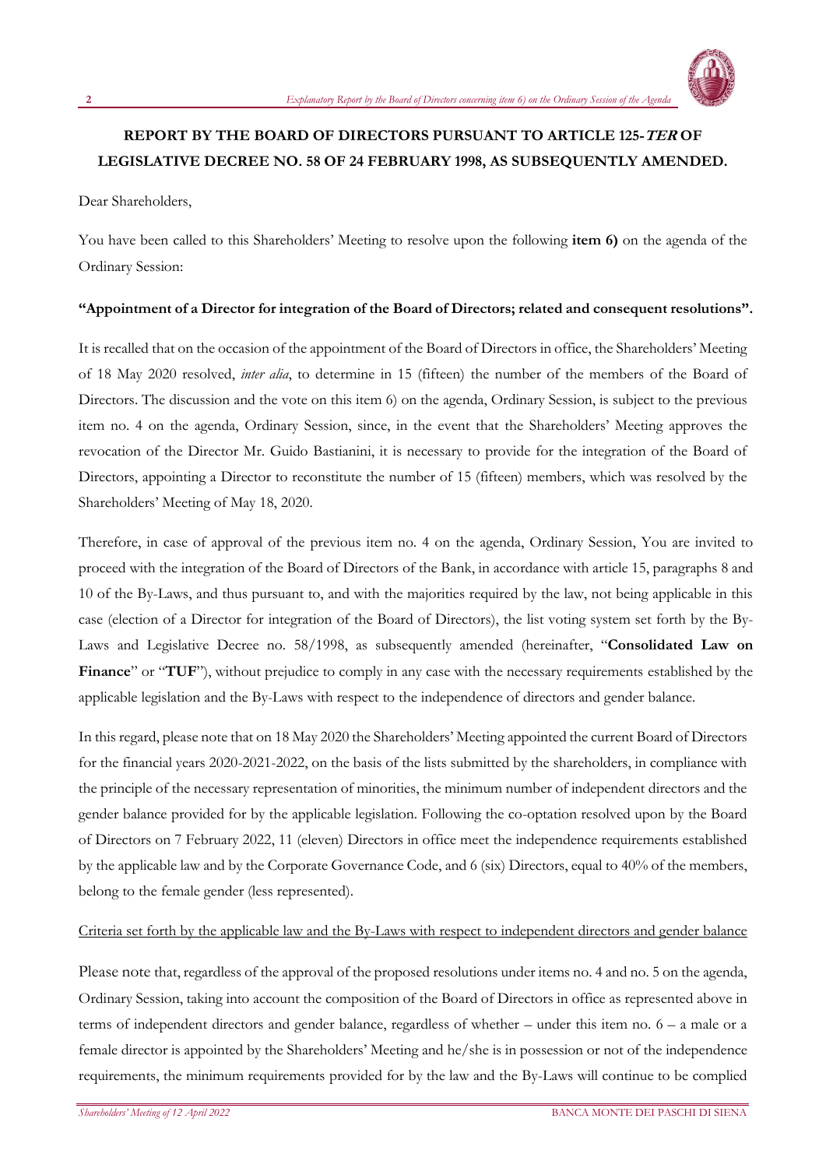

## **REPORT BY THE BOARD OF DIRECTORS PURSUANT TO ARTICLE 125-TER OF LEGISLATIVE DECREE NO. 58 OF 24 FEBRUARY 1998, AS SUBSEQUENTLY AMENDED.**

Dear Shareholders,

You have been called to this Shareholders' Meeting to resolve upon the following **item 6)** on the agenda of the Ordinary Session:

### **"Appointment of a Director for integration of the Board of Directors; related and consequent resolutions".**

It is recalled that on the occasion of the appointment of the Board of Directors in office, the Shareholders' Meeting of 18 May 2020 resolved, *inter alia*, to determine in 15 (fifteen) the number of the members of the Board of Directors. The discussion and the vote on this item 6) on the agenda, Ordinary Session, is subject to the previous item no. 4 on the agenda, Ordinary Session, since, in the event that the Shareholders' Meeting approves the revocation of the Director Mr. Guido Bastianini, it is necessary to provide for the integration of the Board of Directors, appointing a Director to reconstitute the number of 15 (fifteen) members, which was resolved by the Shareholders' Meeting of May 18, 2020.

Therefore, in case of approval of the previous item no. 4 on the agenda, Ordinary Session, You are invited to proceed with the integration of the Board of Directors of the Bank, in accordance with article 15, paragraphs 8 and 10 of the By-Laws, and thus pursuant to, and with the majorities required by the law, not being applicable in this case (election of a Director for integration of the Board of Directors), the list voting system set forth by the By-Laws and Legislative Decree no. 58/1998, as subsequently amended (hereinafter, "**Consolidated Law on**  Finance" or "TUF"), without prejudice to comply in any case with the necessary requirements established by the applicable legislation and the By-Laws with respect to the independence of directors and gender balance.

In this regard, please note that on 18 May 2020 the Shareholders' Meeting appointed the current Board of Directors for the financial years 2020-2021-2022, on the basis of the lists submitted by the shareholders, in compliance with the principle of the necessary representation of minorities, the minimum number of independent directors and the gender balance provided for by the applicable legislation. Following the co-optation resolved upon by the Board of Directors on 7 February 2022, 11 (eleven) Directors in office meet the independence requirements established by the applicable law and by the Corporate Governance Code, and 6 (six) Directors, equal to 40% of the members, belong to the female gender (less represented).

### Criteria set forth by the applicable law and the By-Laws with respect to independent directors and gender balance

Please note that, regardless of the approval of the proposed resolutions under items no. 4 and no. 5 on the agenda, Ordinary Session, taking into account the composition of the Board of Directors in office as represented above in terms of independent directors and gender balance, regardless of whether – under this item no. 6 – a male or a female director is appointed by the Shareholders' Meeting and he/she is in possession or not of the independence requirements, the minimum requirements provided for by the law and the By-Laws will continue to be complied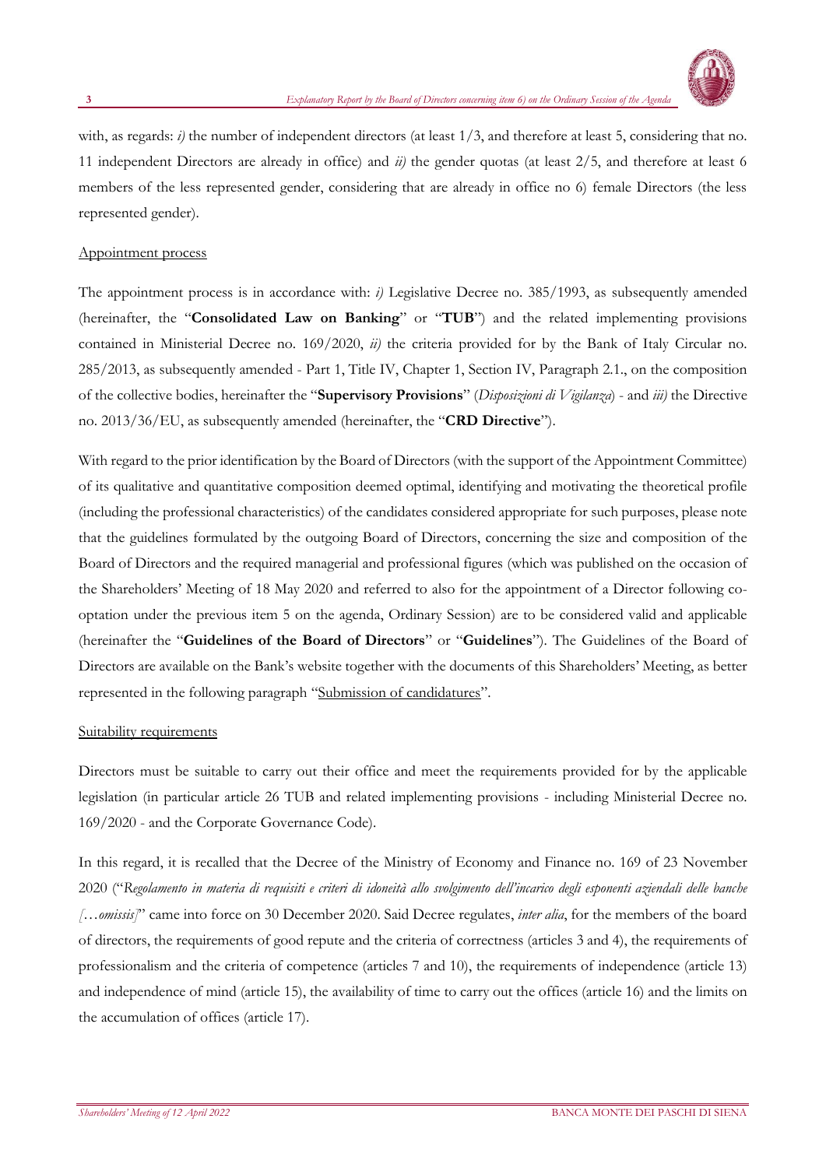

with, as regards: *i*) the number of independent directors (at least 1/3, and therefore at least 5, considering that no. 11 independent Directors are already in office) and *ii)* the gender quotas (at least 2/5, and therefore at least 6 members of the less represented gender, considering that are already in office no 6) female Directors (the less represented gender).

### Appointment process

The appointment process is in accordance with: *i)* Legislative Decree no. 385/1993, as subsequently amended (hereinafter, the "**Consolidated Law on Banking**" or "**TUB**") and the related implementing provisions contained in Ministerial Decree no. 169/2020, *ii)* the criteria provided for by the Bank of Italy Circular no. 285/2013, as subsequently amended - Part 1, Title IV, Chapter 1, Section IV, Paragraph 2.1., on the composition of the collective bodies, hereinafter the "**Supervisory Provisions**" (*Disposizioni di Vigilanza*) - and *iii)* the Directive no. 2013/36/EU, as subsequently amended (hereinafter, the "**CRD Directive**").

With regard to the prior identification by the Board of Directors (with the support of the Appointment Committee) of its qualitative and quantitative composition deemed optimal, identifying and motivating the theoretical profile (including the professional characteristics) of the candidates considered appropriate for such purposes, please note that the guidelines formulated by the outgoing Board of Directors, concerning the size and composition of the Board of Directors and the required managerial and professional figures (which was published on the occasion of the Shareholders' Meeting of 18 May 2020 and referred to also for the appointment of a Director following cooptation under the previous item 5 on the agenda, Ordinary Session) are to be considered valid and applicable (hereinafter the "**Guidelines of the Board of Directors**" or "**Guidelines**"). The Guidelines of the Board of Directors are available on the Bank's website together with the documents of this Shareholders' Meeting, as better represented in the following paragraph "Submission of candidatures".

### Suitability requirements

Directors must be suitable to carry out their office and meet the requirements provided for by the applicable legislation (in particular article 26 TUB and related implementing provisions - including Ministerial Decree no. 169/2020 - and the Corporate Governance Code).

In this regard, it is recalled that the Decree of the Ministry of Economy and Finance no. 169 of 23 November 2020 ("*Regolamento in materia di requisiti e criteri di idoneità allo svolgimento dell'incarico degli esponenti aziendali delle banche […omissis]*" came into force on 30 December 2020. Said Decree regulates, *inter alia*, for the members of the board of directors, the requirements of good repute and the criteria of correctness (articles 3 and 4), the requirements of professionalism and the criteria of competence (articles 7 and 10), the requirements of independence (article 13) and independence of mind (article 15), the availability of time to carry out the offices (article 16) and the limits on the accumulation of offices (article 17).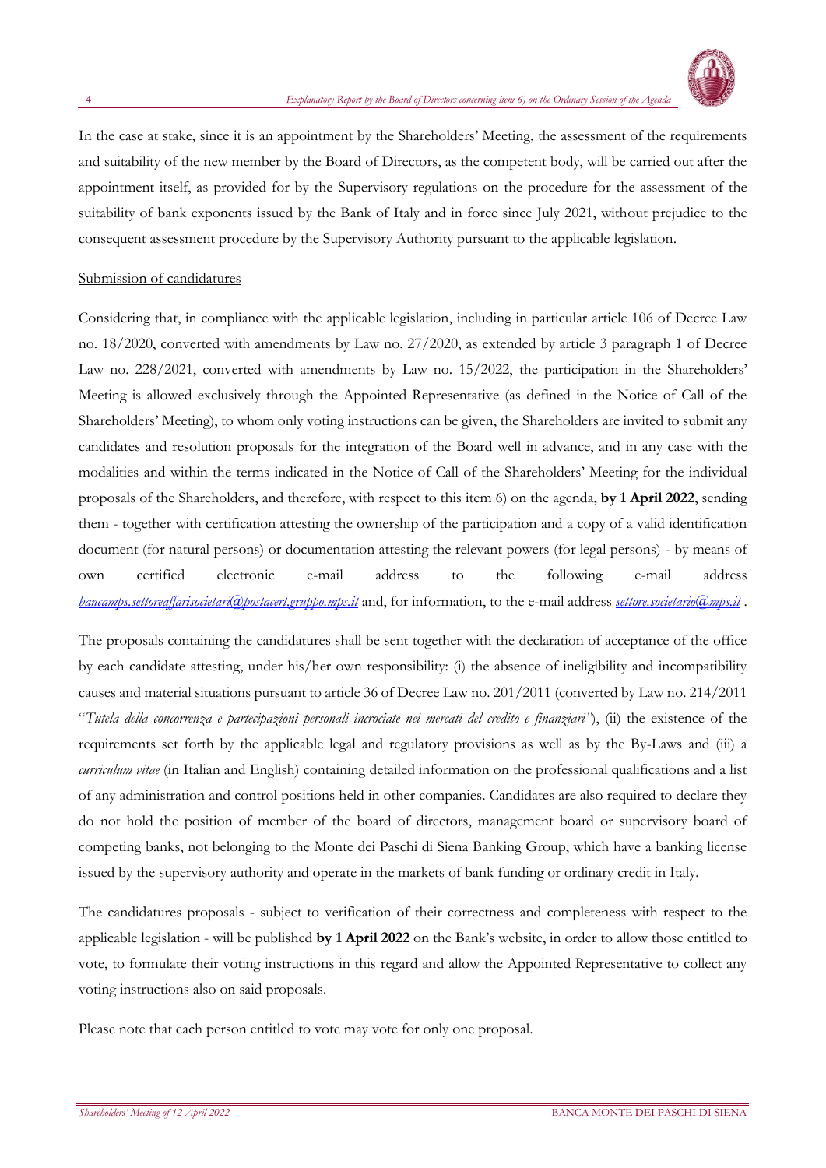

In the case at stake, since it is an appointment by the Shareholders' Meeting, the assessment of the requirements and suitability of the new member by the Board of Directors, as the competent body, will be carried out after the appointment itself, as provided for by the Supervisory regulations on the procedure for the assessment of the suitability of bank exponents issued by the Bank of Italy and in force since July 2021, without prejudice to the consequent assessment procedure by the Supervisory Authority pursuant to the applicable legislation.

### Submission of candidatures

Considering that, in compliance with the applicable legislation, including in particular article 106 of Decree Law no. 18/2020, converted with amendments by Law no. 27/2020, as extended by article 3 paragraph 1 of Decree Law no. 228/2021, converted with amendments by Law no. 15/2022, the participation in the Shareholders' Meeting is allowed exclusively through the Appointed Representative (as defined in the Notice of Call of the Shareholders' Meeting), to whom only voting instructions can be given, the Shareholders are invited to submit any candidates and resolution proposals for the integration of the Board well in advance, and in any case with the modalities and within the terms indicated in the Notice of Call of the Shareholders' Meeting for the individual proposals of the Shareholders, and therefore, with respect to this item 6) on the agenda, **by 1 April 2022**, sending them - together with certification attesting the ownership of the participation and a copy of a valid identification document (for natural persons) or documentation attesting the relevant powers (for legal persons) - by means of own certified electronic e-mail address to the following e-mail address *[bancamps.settoreaffarisocietari@postacert.gruppo.mps.it](mailto:bancamps.settoreaffarisocietari@postacert.gruppo.mps.it)* and, for information, to the e-mail address *[settore.societario@mps.it](file:///C:/mailto:settore.societario@mps.it)* .

The proposals containing the candidatures shall be sent together with the declaration of acceptance of the office by each candidate attesting, under his/her own responsibility: (i) the absence of ineligibility and incompatibility causes and material situations pursuant to article 36 of Decree Law no. 201/2011 (converted by Law no. 214/2011 "*Tutela della concorrenza e partecipazioni personali incrociate nei mercati del credito e finanziari"*), (ii) the existence of the requirements set forth by the applicable legal and regulatory provisions as well as by the By-Laws and (iii) a *curriculum vitae* (in Italian and English) containing detailed information on the professional qualifications and a list of any administration and control positions held in other companies. Candidates are also required to declare they do not hold the position of member of the board of directors, management board or supervisory board of competing banks, not belonging to the Monte dei Paschi di Siena Banking Group, which have a banking license issued by the supervisory authority and operate in the markets of bank funding or ordinary credit in Italy.

The candidatures proposals - subject to verification of their correctness and completeness with respect to the applicable legislation - will be published **by 1 April 2022** on the Bank's website, in order to allow those entitled to vote, to formulate their voting instructions in this regard and allow the Appointed Representative to collect any voting instructions also on said proposals.

Please note that each person entitled to vote may vote for only one proposal.